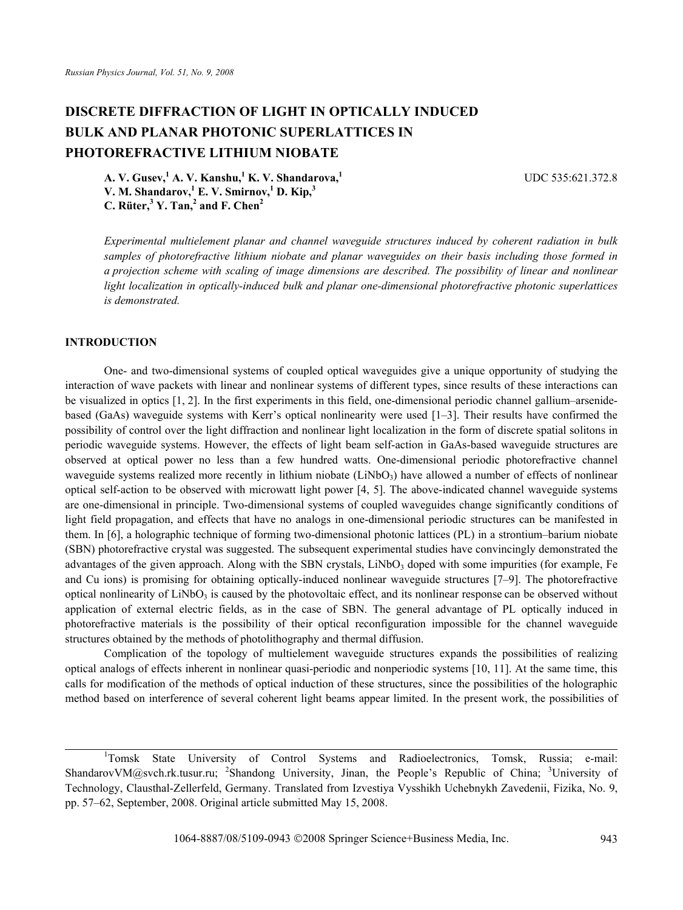# **DISCRETE DIFFRACTION OF LIGHT IN OPTICALLY INDUCED BULK AND PLANAR PHOTONIC SUPERLATTICES IN PHOTOREFRACTIVE LITHIUM NIOBATE**

UDC 535:621.372.8

**A. V. Gusev,<sup>1</sup> A. V. Kanshu,1 K. V. Shandarova,<sup>1</sup> V. M. Shandarov,<sup>1</sup> E. V. Smirnov,1 D. Kip,<sup>3</sup> C. Rüter,<sup>3</sup> Y. Tan,<sup>2</sup> and F. Chen<sup>2</sup>**

*Experimental multielement planar and channel waveguide structures induced by coherent radiation in bulk samples of photorefractive lithium niobate and planar waveguides on their basis including those formed in a projection scheme with scaling of image dimensions are described. The possibility of linear and nonlinear light localization in optically-induced bulk and planar one-dimensional photorefractive photonic superlattices is demonstrated.* 

# **INTRODUCTION**

One- and two-dimensional systems of coupled optical waveguides give a unique opportunity of studying the interaction of wave packets with linear and nonlinear systems of different types, since results of these interactions can be visualized in optics [1, 2]. In the first experiments in this field, one-dimensional periodic channel gallium–arsenidebased (GaAs) waveguide systems with Kerr's optical nonlinearity were used [1–3]. Their results have confirmed the possibility of control over the light diffraction and nonlinear light localization in the form of discrete spatial solitons in periodic waveguide systems. However, the effects of light beam self-action in GaAs-based waveguide structures are observed at optical power no less than a few hundred watts. One-dimensional periodic photorefractive channel waveguide systems realized more recently in lithium niobate  $(LiNbO<sub>3</sub>)$  have allowed a number of effects of nonlinear optical self-action to be observed with microwatt light power [4, 5]. The above-indicated channel waveguide systems are one-dimensional in principle. Two-dimensional systems of coupled waveguides change significantly conditions of light field propagation, and effects that have no analogs in one-dimensional periodic structures can be manifested in them. In [6], a holographic technique of forming two-dimensional photonic lattices (PL) in a strontium–barium niobate (SBN) photorefractive crystal was suggested. The subsequent experimental studies have convincingly demonstrated the advantages of the given approach. Along with the SBN crystals,  $LiNbO<sub>3</sub>$  doped with some impurities (for example, Fe and Cu ions) is promising for obtaining optically-induced nonlinear waveguide structures [7–9]. The photorefractive optical nonlinearity of LiNbO<sub>3</sub> is caused by the photovoltaic effect, and its nonlinear response can be observed without application of external electric fields, as in the case of SBN. The general advantage of PL optically induced in photorefractive materials is the possibility of their optical reconfiguration impossible for the channel waveguide structures obtained by the methods of photolithography and thermal diffusion.

Complication of the topology of multielement waveguide structures expands the possibilities of realizing optical analogs of effects inherent in nonlinear quasi-periodic and nonperiodic systems [10, 11]. At the same time, this calls for modification of the methods of optical induction of these structures, since the possibilities of the holographic method based on interference of several coherent light beams appear limited. In the present work, the possibilities of

<sup>&</sup>lt;sup>1</sup>Tomsk State University of Control Systems and Radioelectronics, Tomsk, Russia; e-mail: ShandarovVM@svch.rk.tusur.ru; <sup>2</sup>Shandong University, Jinan, the People's Republic of China; <sup>3</sup>University of Technology, Clausthal-Zellerfeld, Germany. Translated from Izvestiya Vysshikh Uchebnykh Zavedenii, Fizika, No. 9, pp. 57–62, September, 2008. Original article submitted May 15, 2008.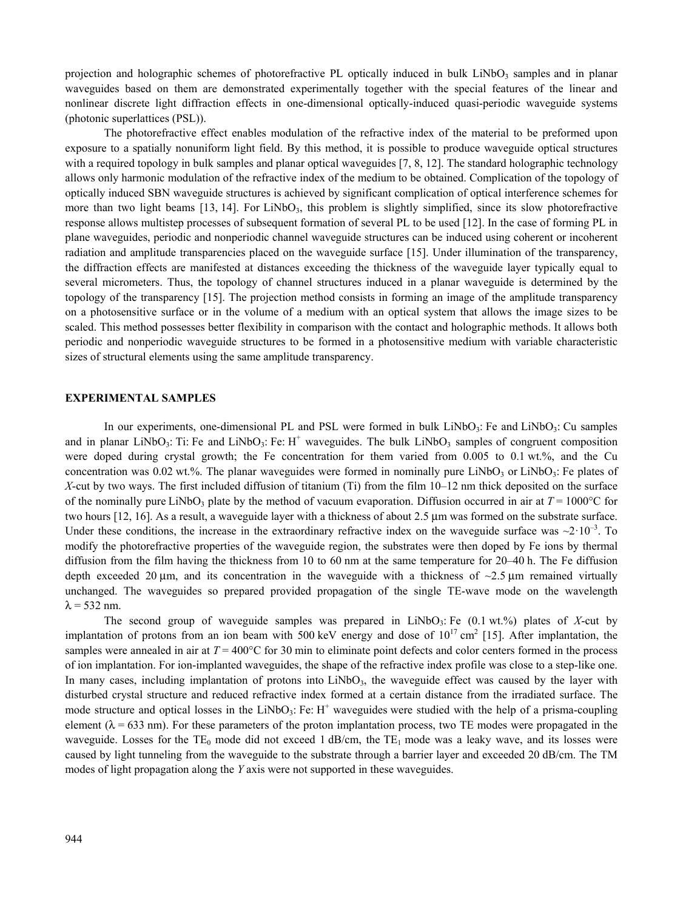projection and holographic schemes of photorefractive PL optically induced in bulk LiNbO<sub>3</sub> samples and in planar waveguides based on them are demonstrated experimentally together with the special features of the linear and nonlinear discrete light diffraction effects in one-dimensional optically-induced quasi-periodic waveguide systems (photonic superlattices (PSL)).

The photorefractive effect enables modulation of the refractive index of the material to be preformed upon exposure to a spatially nonuniform light field. By this method, it is possible to produce waveguide optical structures with a required topology in bulk samples and planar optical waveguides [7, 8, 12]. The standard holographic technology allows only harmonic modulation of the refractive index of the medium to be obtained. Complication of the topology of optically induced SBN waveguide structures is achieved by significant complication of optical interference schemes for more than two light beams [13, 14]. For LiNbO<sub>3</sub>, this problem is slightly simplified, since its slow photorefractive response allows multistep processes of subsequent formation of several PL to be used [12]. In the case of forming PL in plane waveguides, periodic and nonperiodic channel waveguide structures can be induced using coherent or incoherent radiation and amplitude transparencies placed on the waveguide surface [15]. Under illumination of the transparency, the diffraction effects are manifested at distances exceeding the thickness of the waveguide layer typically equal to several micrometers. Thus, the topology of channel structures induced in a planar waveguide is determined by the topology of the transparency [15]. The projection method consists in forming an image of the amplitude transparency on a photosensitive surface or in the volume of a medium with an optical system that allows the image sizes to be scaled. This method possesses better flexibility in comparison with the contact and holographic methods. It allows both periodic and nonperiodic waveguide structures to be formed in a photosensitive medium with variable characteristic sizes of structural elements using the same amplitude transparency.

### **EXPERIMENTAL SAMPLES**

In our experiments, one-dimensional PL and PSL were formed in bulk LiNbO<sub>3</sub>: Fe and LiNbO<sub>3</sub>: Cu samples and in planar LiNbO<sub>3</sub>: Ti: Fe and LiNbO<sub>3</sub>: Fe:  $H^+$  waveguides. The bulk LiNbO<sub>3</sub> samples of congruent composition were doped during crystal growth; the Fe concentration for them varied from 0.005 to 0.1 wt.%, and the Cu concentration was 0.02 wt.%. The planar waveguides were formed in nominally pure LiNbO<sub>3</sub> or LiNbO<sub>3</sub>: Fe plates of *X*-cut by two ways. The first included diffusion of titanium (Ti) from the film 10–12 nm thick deposited on the surface of the nominally pure LiNbO<sub>3</sub> plate by the method of vacuum evaporation. Diffusion occurred in air at  $T = 1000^{\circ}$ C for two hours [12, 16]. As a result, a waveguide layer with a thickness of about 2.5 μm was formed on the substrate surface. Under these conditions, the increase in the extraordinary refractive index on the waveguide surface was  $\sim$ 2·10<sup>-3</sup>. To modify the photorefractive properties of the waveguide region, the substrates were then doped by Fe ions by thermal diffusion from the film having the thickness from 10 to 60 nm at the same temperature for 20–40 h. The Fe diffusion depth exceeded 20  $\mu$ m, and its concentration in the waveguide with a thickness of  $\sim$ 2.5  $\mu$ m remained virtually unchanged. The waveguides so prepared provided propagation of the single TE-wave mode on the wavelength  $\lambda$  = 532 nm.

The second group of waveguide samples was prepared in LiNbO3: Fe (0.1 wt.%) plates of *X*-cut by implantation of protons from an ion beam with 500 keV energy and dose of  $10^{17}$  cm<sup>2</sup> [15]. After implantation, the samples were annealed in air at  $T = 400^{\circ}$ C for 30 min to eliminate point defects and color centers formed in the process of ion implantation. For ion-implanted waveguides, the shape of the refractive index profile was close to a step-like one. In many cases, including implantation of protons into LiNbO<sub>3</sub>, the waveguide effect was caused by the layer with disturbed crystal structure and reduced refractive index formed at a certain distance from the irradiated surface. The mode structure and optical losses in the LiNbO<sub>3</sub>: Fe:  $H^+$  waveguides were studied with the help of a prisma-coupling element ( $\lambda$  = 633 nm). For these parameters of the proton implantation process, two TE modes were propagated in the waveguide. Losses for the TE<sub>0</sub> mode did not exceed 1 dB/cm, the TE<sub>1</sub> mode was a leaky wave, and its losses were caused by light tunneling from the waveguide to the substrate through a barrier layer and exceeded 20 dB/cm. The ТМ modes of light propagation along the *Y* axis were not supported in these waveguides.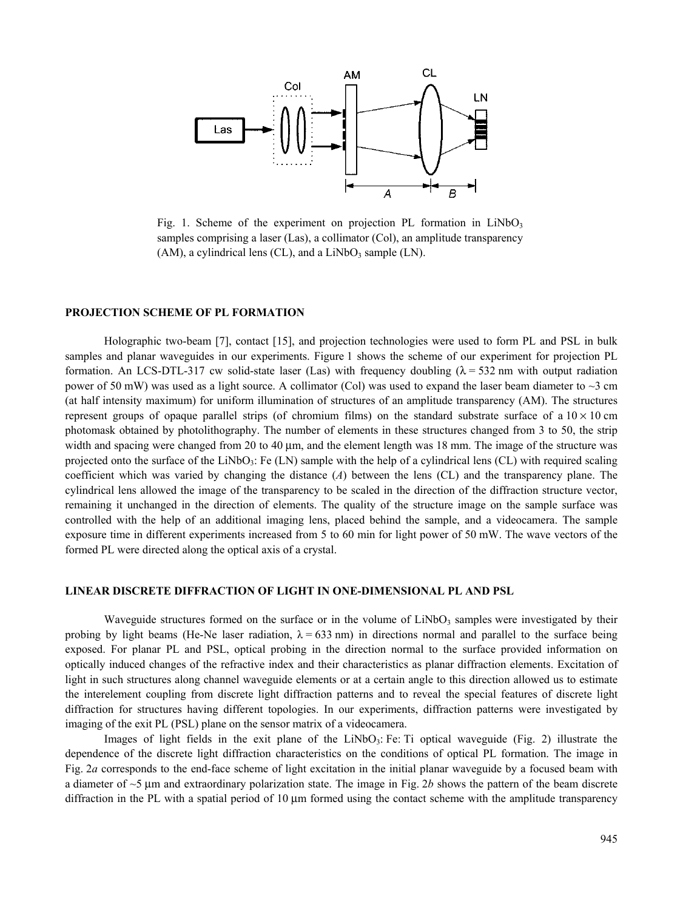

Fig. 1. Scheme of the experiment on projection PL formation in  $LiNbO<sub>3</sub>$ samples comprising a laser (Las), a collimator (Col), an amplitude transparency  $(AM)$ , a cylindrical lens  $(CL)$ , and a  $LiNbO<sub>3</sub>$  sample  $(LN)$ .

#### **PROJECTION SCHEME OF PL FORMATION**

Holographic two-beam [7], contact [15], and projection technologies were used to form PL and PSL in bulk samples and planar waveguides in our experiments. Figure 1 shows the scheme of our experiment for projection PL formation. An LCS-DTL-317 cw solid-state laser (Las) with frequency doubling  $(\lambda = 532 \text{ nm})$  with output radiation power of 50 mW) was used as a light source. A collimator (Col) was used to expand the laser beam diameter to  $\sim$ 3 cm (at half intensity maximum) for uniform illumination of structures of an amplitude transparency (АМ). The structures represent groups of opaque parallel strips (of chromium films) on the standard substrate surface of a  $10 \times 10$  cm photomask obtained by photolithography. The number of elements in these structures changed from 3 to 50, the strip width and spacing were changed from 20 to 40 μm, and the element length was 18 mm. The image of the structure was projected onto the surface of the LiNbO<sub>3</sub>: Fe (LN) sample with the help of a cylindrical lens (CL) with required scaling coefficient which was varied by changing the distance (*А*) between the lens (CL) and the transparency plane. The cylindrical lens allowed the image of the transparency to be scaled in the direction of the diffraction structure vector, remaining it unchanged in the direction of elements. The quality of the structure image on the sample surface was controlled with the help of an additional imaging lens, placed behind the sample, and a videocamera. The sample exposure time in different experiments increased from 5 to 60 min for light power of 50 mW. The wave vectors of the formed PL were directed along the optical axis of a crystal.

#### **LINEAR DISCRETE DIFFRACTION OF LIGHT IN ONE-DIMENSIONAL PL AND PSL**

Waveguide structures formed on the surface or in the volume of  $LiNbO<sub>3</sub>$  samples were investigated by their probing by light beams (He-Ne laser radiation,  $\lambda = 633$  nm) in directions normal and parallel to the surface being exposed. For planar PL and PSL, optical probing in the direction normal to the surface provided information on optically induced changes of the refractive index and their characteristics as planar diffraction elements. Excitation of light in such structures along channel waveguide elements or at a certain angle to this direction allowed us to estimate the interelement coupling from discrete light diffraction patterns and to reveal the special features of discrete light diffraction for structures having different topologies. In our experiments, diffraction patterns were investigated by imaging of the exit PL (PSL) plane on the sensor matrix of a videocamera.

Images of light fields in the exit plane of the LiNbO<sub>3</sub>: Fe: Ti optical waveguide (Fig. 2) illustrate the dependence of the discrete light diffraction characteristics on the conditions of optical PL formation. The image in Fig. 2*a* corresponds to the end-face scheme of light excitation in the initial planar waveguide by a focused beam with a diameter of ~5 μm and extraordinary polarization state. The image in Fig. 2*b* shows the pattern of the beam discrete diffraction in the PL with a spatial period of 10 μm formed using the contact scheme with the amplitude transparency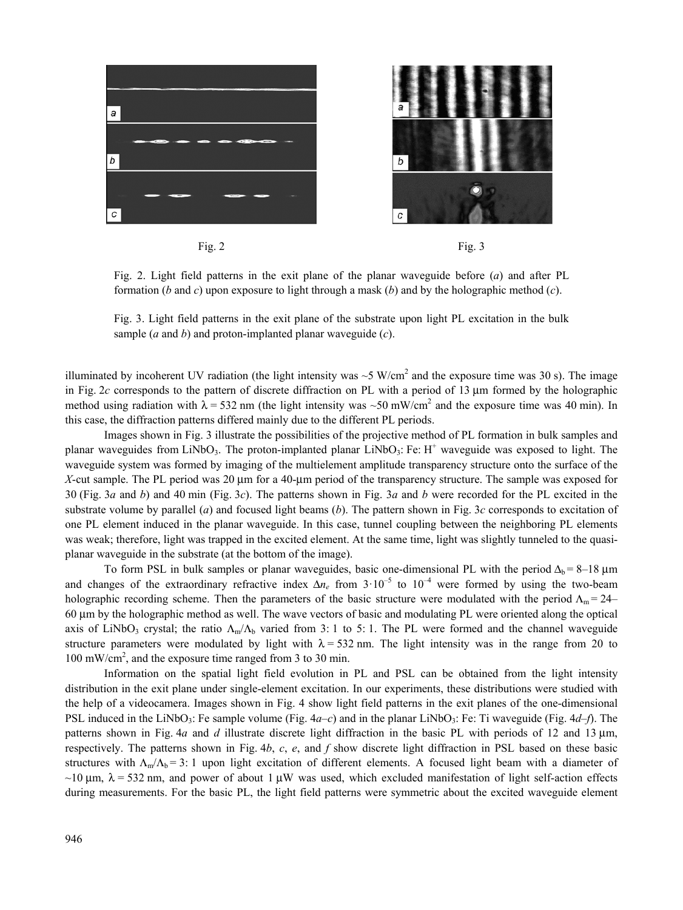

Fig. 2 Fig. 3

Fig. 2. Light field patterns in the exit plane of the planar waveguide before (*a*) and after PL formation (*b* and *c*) upon exposure to light through a mask (*b*) and by the holographic method (*c*).

Fig. 3. Light field patterns in the exit plane of the substrate upon light PL excitation in the bulk sample (*a* and *b*) and proton-implanted planar waveguide (*c*).

illuminated by incoherent UV radiation (the light intensity was  $\sim$  5 W/cm<sup>2</sup> and the exposure time was 30 s). The image in Fig. 2*c* corresponds to the pattern of discrete diffraction on PL with a period of 13 μm formed by the holographic method using radiation with  $\lambda$  = 532 nm (the light intensity was ~50 mW/cm<sup>2</sup> and the exposure time was 40 min). In this case, the diffraction patterns differed mainly due to the different PL periods.

Images shown in Fig. 3 illustrate the possibilities of the projective method of PL formation in bulk samples and planar waveguides from LiNbO<sub>3</sub>. The proton-implanted planar LiNbO<sub>3</sub>: Fe: H<sup>+</sup> waveguide was exposed to light. The waveguide system was formed by imaging of the multielement amplitude transparency structure onto the surface of the *X*-cut sample. The PL period was 20 μm for a 40-μm period of the transparency structure. The sample was exposed for 30 (Fig. 3*a* and *b*) and 40 min (Fig. 3*c*). The patterns shown in Fig. 3*a* and *b* were recorded for the PL excited in the substrate volume by parallel (*a*) and focused light beams (*b*). The pattern shown in Fig. 3*c* corresponds to excitation of one PL element induced in the planar waveguide. In this case, tunnel coupling between the neighboring PL elements was weak; therefore, light was trapped in the excited element. At the same time, light was slightly tunneled to the quasiplanar waveguide in the substrate (at the bottom of the image).

To form PSL in bulk samples or planar waveguides, basic one-dimensional PL with the period  $\Delta_b = 8-18$  μm and changes of the extraordinary refractive index  $\Delta n_e$  from  $3 \cdot 10^{-5}$  to  $10^{-4}$  were formed by using the two-beam holographic recording scheme. Then the parameters of the basic structure were modulated with the period  $\Lambda_m = 24$ – 60 μm by the holographic method as well. The wave vectors of basic and modulating PL were oriented along the optical axis of LiNbO<sub>3</sub> crystal; the ratio  $\Lambda_{m}/\Lambda_{b}$  varied from 3: 1 to 5: 1. The PL were formed and the channel waveguide structure parameters were modulated by light with  $\lambda = 532$  nm. The light intensity was in the range from 20 to 100 mW/cm2 , and the exposure time ranged from 3 to 30 min.

Information on the spatial light field evolution in PL and PSL can be obtained from the light intensity distribution in the exit plane under single-element excitation. In our experiments, these distributions were studied with the help of a videocamera. Images shown in Fig. 4 show light field patterns in the exit planes of the one-dimensional PSL induced in the LiNbO<sub>3</sub>: Fe sample volume (Fig.  $4a-c$ ) and in the planar LiNbO<sub>3</sub>: Fe: Ti waveguide (Fig.  $4d-f$ ). The patterns shown in Fig. 4*a* and *d* illustrate discrete light diffraction in the basic PL with periods of 12 and 13 μm, respectively. The patterns shown in Fig. 4*b*, *c*, *е*, and *f* show discrete light diffraction in PSL based on these basic structures with  $\Lambda_m/\Lambda_b = 3$ : 1 upon light excitation of different elements. A focused light beam with a diameter of  $\sim$ 10 μm,  $\lambda$  = 532 nm, and power of about 1 μW was used, which excluded manifestation of light self-action effects during measurements. For the basic PL, the light field patterns were symmetric about the excited waveguide element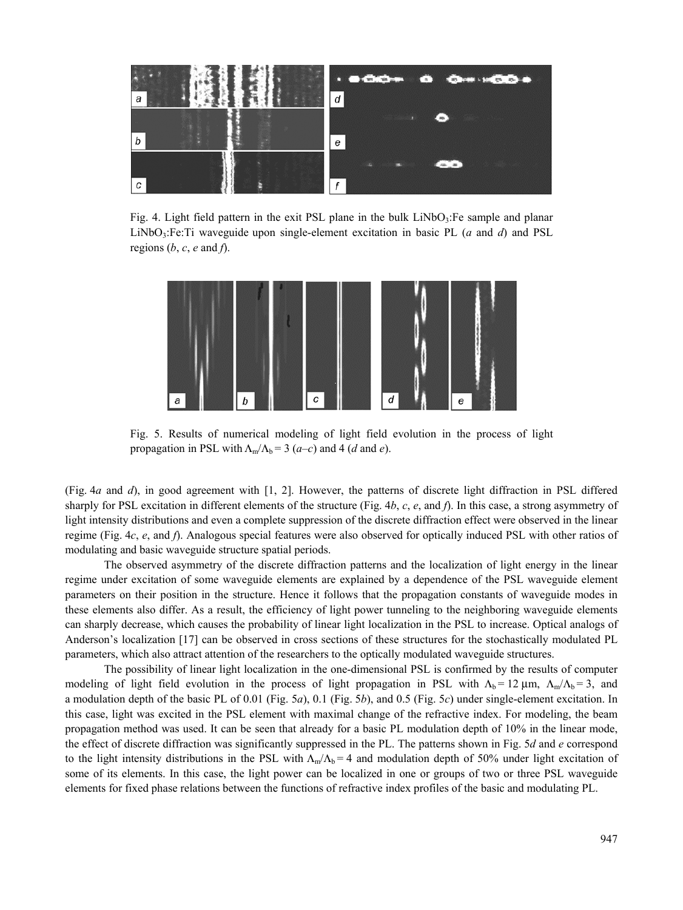

Fig. 4. Light field pattern in the exit PSL plane in the bulk LiNbO<sub>3</sub>:Fe sample and planar LiNbO3:Fe:Ti waveguide upon single-element excitation in basic PL (*a* and *d*) and PSL regions  $(b, c, e$  and  $f$ ).



Fig. 5. Results of numerical modeling of light field evolution in the process of light propagation in PSL with  $\Lambda_{m}/\Lambda_{b} = 3$  (*a–c*) and 4 (*d* and *e*).

(Fig. 4*a* and *d*), in good agreement with [1, 2]. However, the patterns of discrete light diffraction in PSL differed sharply for PSL excitation in different elements of the structure (Fig. 4*b*, *c*, *e*, and *f*). In this case, a strong asymmetry of light intensity distributions and even a complete suppression of the discrete diffraction effect were observed in the linear regime (Fig. 4*c*, *e*, and *f*). Analogous special features were also observed for optically induced PSL with other ratios of modulating and basic waveguide structure spatial periods.

The observed asymmetry of the discrete diffraction patterns and the localization of light energy in the linear regime under excitation of some waveguide elements are explained by a dependence of the PSL waveguide element parameters on their position in the structure. Hence it follows that the propagation constants of waveguide modes in these elements also differ. As a result, the efficiency of light power tunneling to the neighboring waveguide elements can sharply decrease, which causes the probability of linear light localization in the PSL to increase. Optical analogs of Anderson's localization [17] can be observed in cross sections of these structures for the stochastically modulated PL parameters, which also attract attention of the researchers to the optically modulated waveguide structures.

The possibility of linear light localization in the one-dimensional PSL is confirmed by the results of computer modeling of light field evolution in the process of light propagation in PSL with  $\Lambda_b = 12 \,\mu\text{m}$ ,  $\Lambda_m/\Lambda_b = 3$ , and a modulation depth of the basic PL of 0.01 (Fig. 5*а*), 0.1 (Fig. 5*b*), and 0.5 (Fig. 5*c*) under single-element excitation. In this case, light was excited in the PSL element with maximal change of the refractive index. For modeling, the beam propagation method was used. It can be seen that already for a basic PL modulation depth of 10% in the linear mode, the effect of discrete diffraction was significantly suppressed in the PL. The patterns shown in Fig. 5*d* and *e* correspond to the light intensity distributions in the PSL with  $\Lambda_m/\Lambda_b = 4$  and modulation depth of 50% under light excitation of some of its elements. In this case, the light power can be localized in one or groups of two or three PSL waveguide elements for fixed phase relations between the functions of refractive index profiles of the basic and modulating PL.